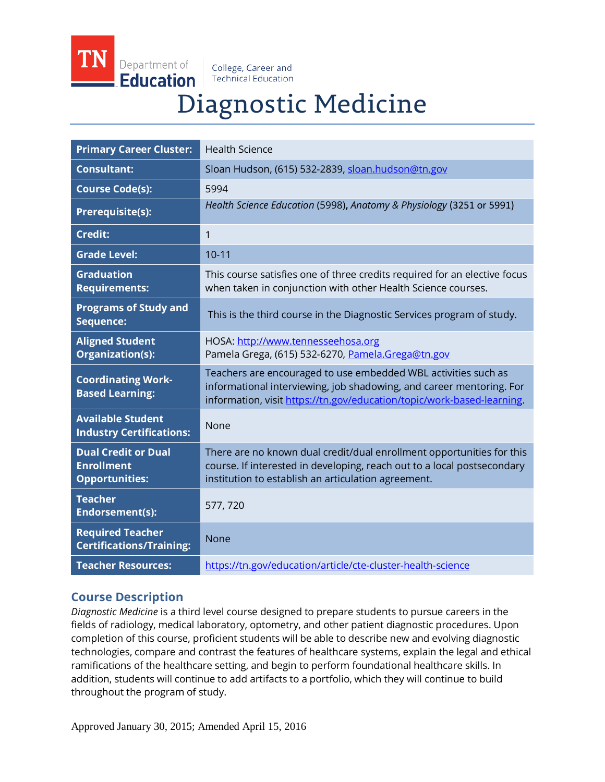Department of **Education** 

College, Career and **Technical Education** 

# Diagnostic Medicine

| <b>Primary Career Cluster:</b>                                           | <b>Health Science</b>                                                                                                                                                                                            |
|--------------------------------------------------------------------------|------------------------------------------------------------------------------------------------------------------------------------------------------------------------------------------------------------------|
| <b>Consultant:</b>                                                       | Sloan Hudson, (615) 532-2839, sloan.hudson@tn.gov                                                                                                                                                                |
| <b>Course Code(s):</b>                                                   | 5994                                                                                                                                                                                                             |
| <b>Prerequisite(s):</b>                                                  | Health Science Education (5998), Anatomy & Physiology (3251 or 5991)                                                                                                                                             |
| <b>Credit:</b>                                                           | $\mathbf{1}$                                                                                                                                                                                                     |
| <b>Grade Level:</b>                                                      | $10 - 11$                                                                                                                                                                                                        |
| <b>Graduation</b><br><b>Requirements:</b>                                | This course satisfies one of three credits required for an elective focus<br>when taken in conjunction with other Health Science courses.                                                                        |
| <b>Programs of Study and</b><br>Sequence:                                | This is the third course in the Diagnostic Services program of study.                                                                                                                                            |
| <b>Aligned Student</b><br>Organization(s):                               | HOSA: http://www.tennesseehosa.org<br>Pamela Grega, (615) 532-6270, Pamela.Grega@tn.gov                                                                                                                          |
| <b>Coordinating Work-</b><br><b>Based Learning:</b>                      | Teachers are encouraged to use embedded WBL activities such as<br>informational interviewing, job shadowing, and career mentoring. For<br>information, visit https://tn.gov/education/topic/work-based-learning. |
| <b>Available Student</b><br><b>Industry Certifications:</b>              | None                                                                                                                                                                                                             |
| <b>Dual Credit or Dual</b><br><b>Enrollment</b><br><b>Opportunities:</b> | There are no known dual credit/dual enrollment opportunities for this<br>course. If interested in developing, reach out to a local postsecondary<br>institution to establish an articulation agreement.          |
| <b>Teacher</b><br>Endorsement(s):                                        | 577, 720                                                                                                                                                                                                         |
| <b>Required Teacher</b><br><b>Certifications/Training:</b>               | None                                                                                                                                                                                                             |
| <b>Teacher Resources:</b>                                                | https://tn.gov/education/article/cte-cluster-health-science                                                                                                                                                      |

## **Course Description**

*Diagnostic Medicine* is a third level course designed to prepare students to pursue careers in the fields of radiology, medical laboratory, optometry, and other patient diagnostic procedures. Upon completion of this course, proficient students will be able to describe new and evolving diagnostic technologies, compare and contrast the features of healthcare systems, explain the legal and ethical ramifications of the healthcare setting, and begin to perform foundational healthcare skills. In addition, students will continue to add artifacts to a portfolio, which they will continue to build throughout the program of study.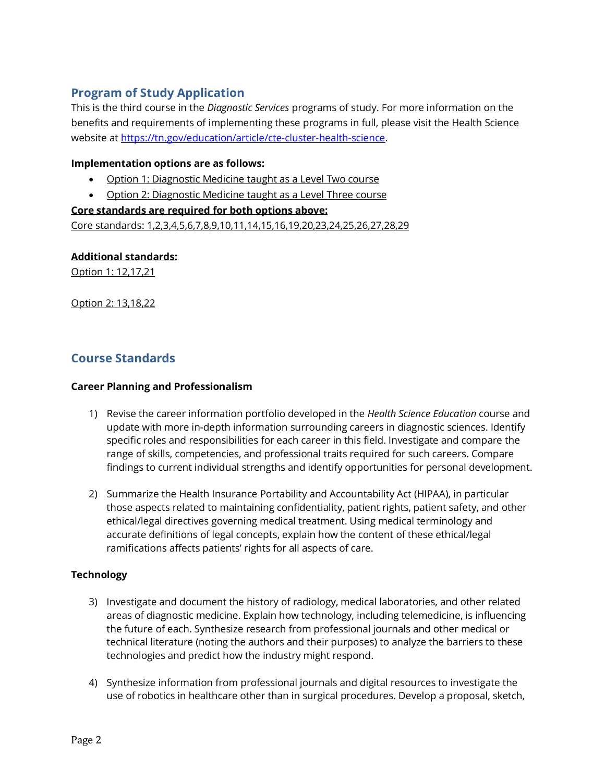# **Program of Study Application**

This is the third course in the *Diagnostic Services* programs of study. For more information on the benefits and requirements of implementing these programs in full, please visit the Health Science website at [https://tn.gov/education/article/cte-cluster-health-science.](https://tn.gov/education/article/cte-cluster-health-science)

## **Implementation options are as follows:**

- Option 1: Diagnostic Medicine taught as a Level Two course
- Option 2: Diagnostic Medicine taught as a Level Three course

# **Core standards are required for both options above:** Core standards: 1,2,3,4,5,6,7,8,9,10,11,14,15,16,19,20,23,24,25,26,27,28,29

**Additional standards:**

Option 1: 12,17,21

Option 2: 13,18,22

## **Course Standards**

### **Career Planning and Professionalism**

- 1) Revise the career information portfolio developed in the *Health Science Education* course and update with more in-depth information surrounding careers in diagnostic sciences. Identify specific roles and responsibilities for each career in this field. Investigate and compare the range of skills, competencies, and professional traits required for such careers. Compare findings to current individual strengths and identify opportunities for personal development.
- 2) Summarize the Health Insurance Portability and Accountability Act (HIPAA), in particular those aspects related to maintaining confidentiality, patient rights, patient safety, and other ethical/legal directives governing medical treatment. Using medical terminology and accurate definitions of legal concepts, explain how the content of these ethical/legal ramifications affects patients' rights for all aspects of care.

## **Technology**

- 3) Investigate and document the history of radiology, medical laboratories, and other related areas of diagnostic medicine. Explain how technology, including telemedicine, is influencing the future of each. Synthesize research from professional journals and other medical or technical literature (noting the authors and their purposes) to analyze the barriers to these technologies and predict how the industry might respond.
- 4) Synthesize information from professional journals and digital resources to investigate the use of robotics in healthcare other than in surgical procedures. Develop a proposal, sketch,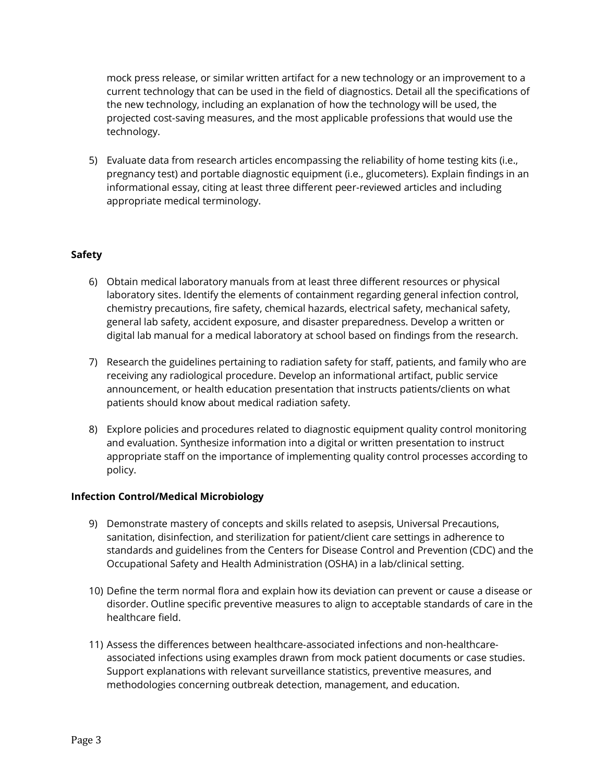mock press release, or similar written artifact for a new technology or an improvement to a current technology that can be used in the field of diagnostics. Detail all the specifications of the new technology, including an explanation of how the technology will be used, the projected cost-saving measures, and the most applicable professions that would use the technology.

5) Evaluate data from research articles encompassing the reliability of home testing kits (i.e., pregnancy test) and portable diagnostic equipment (i.e., glucometers). Explain findings in an informational essay, citing at least three different peer-reviewed articles and including appropriate medical terminology.

## **Safety**

- 6) Obtain medical laboratory manuals from at least three different resources or physical laboratory sites. Identify the elements of containment regarding general infection control, chemistry precautions, fire safety, chemical hazards, electrical safety, mechanical safety, general lab safety, accident exposure, and disaster preparedness. Develop a written or digital lab manual for a medical laboratory at school based on findings from the research.
- 7) Research the guidelines pertaining to radiation safety for staff, patients, and family who are receiving any radiological procedure. Develop an informational artifact, public service announcement, or health education presentation that instructs patients/clients on what patients should know about medical radiation safety.
- 8) Explore policies and procedures related to diagnostic equipment quality control monitoring and evaluation. Synthesize information into a digital or written presentation to instruct appropriate staff on the importance of implementing quality control processes according to policy.

#### **Infection Control/Medical Microbiology**

- 9) Demonstrate mastery of concepts and skills related to asepsis, Universal Precautions, sanitation, disinfection, and sterilization for patient/client care settings in adherence to standards and guidelines from the Centers for Disease Control and Prevention (CDC) and the Occupational Safety and Health Administration (OSHA) in a lab/clinical setting.
- 10) Define the term normal flora and explain how its deviation can prevent or cause a disease or disorder. Outline specific preventive measures to align to acceptable standards of care in the healthcare field.
- 11) Assess the differences between healthcare-associated infections and non-healthcareassociated infections using examples drawn from mock patient documents or case studies. Support explanations with relevant surveillance statistics, preventive measures, and methodologies concerning outbreak detection, management, and education.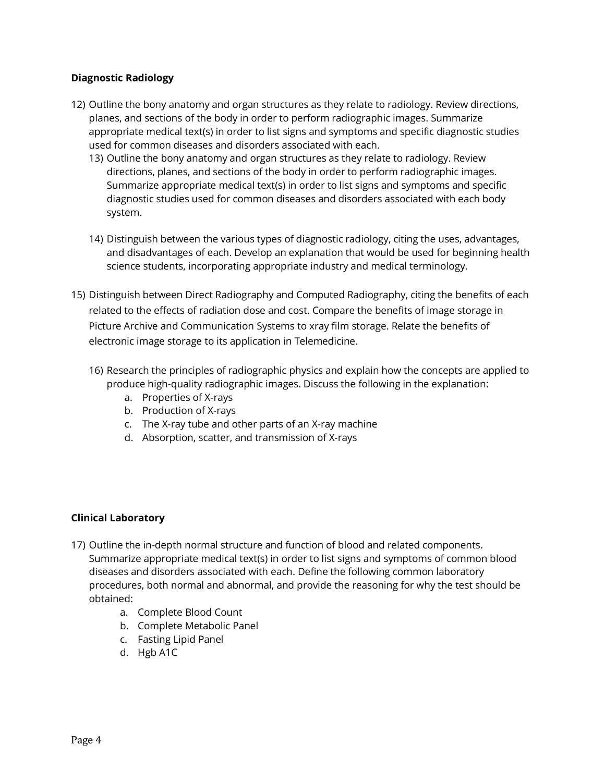## **Diagnostic Radiology**

- 12) Outline the bony anatomy and organ structures as they relate to radiology. Review directions, planes, and sections of the body in order to perform radiographic images. Summarize appropriate medical text(s) in order to list signs and symptoms and specific diagnostic studies used for common diseases and disorders associated with each.
	- 13) Outline the bony anatomy and organ structures as they relate to radiology. Review directions, planes, and sections of the body in order to perform radiographic images. Summarize appropriate medical text(s) in order to list signs and symptoms and specific diagnostic studies used for common diseases and disorders associated with each body system.
	- 14) Distinguish between the various types of diagnostic radiology, citing the uses, advantages, and disadvantages of each. Develop an explanation that would be used for beginning health science students, incorporating appropriate industry and medical terminology.
- 15) Distinguish between Direct Radiography and Computed Radiography, citing the benefits of each related to the effects of radiation dose and cost. Compare the benefits of image storage in Picture Archive and Communication Systems to xray film storage. Relate the benefits of electronic image storage to its application in Telemedicine.
	- 16) Research the principles of radiographic physics and explain how the concepts are applied to produce high-quality radiographic images. Discuss the following in the explanation:
		- a. Properties of X-rays
		- b. Production of X-rays
		- c. The X-ray tube and other parts of an X-ray machine
		- d. Absorption, scatter, and transmission of X-rays

#### **Clinical Laboratory**

- 17) Outline the in-depth normal structure and function of blood and related components. Summarize appropriate medical text(s) in order to list signs and symptoms of common blood diseases and disorders associated with each. Define the following common laboratory procedures, both normal and abnormal, and provide the reasoning for why the test should be obtained:
	- a. Complete Blood Count
	- b. Complete Metabolic Panel
	- c. Fasting Lipid Panel
	- d. Hgb A1C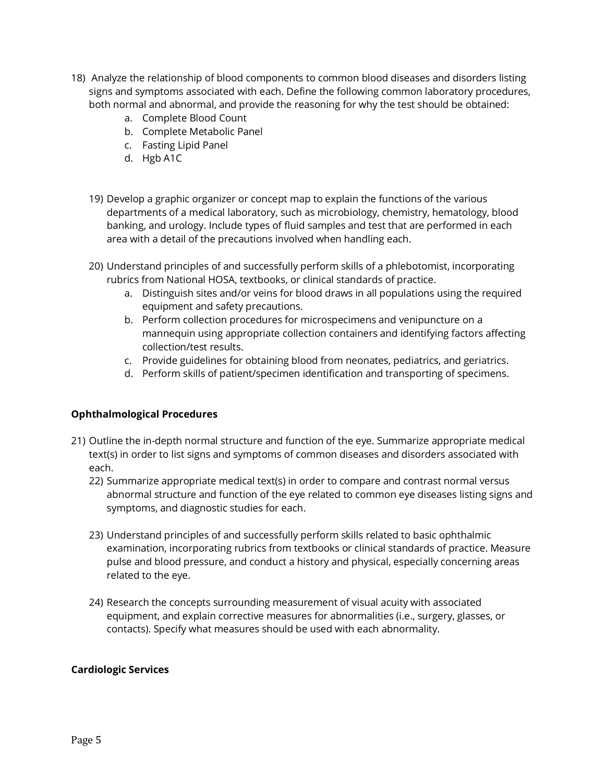- 18) Analyze the relationship of blood components to common blood diseases and disorders listing signs and symptoms associated with each. Define the following common laboratory procedures, both normal and abnormal, and provide the reasoning for why the test should be obtained:
	- a. Complete Blood Count
	- b. Complete Metabolic Panel
	- c. Fasting Lipid Panel
	- d. Hgb A1C
	- 19) Develop a graphic organizer or concept map to explain the functions of the various departments of a medical laboratory, such as microbiology, chemistry, hematology, blood banking, and urology. Include types of fluid samples and test that are performed in each area with a detail of the precautions involved when handling each.
	- 20) Understand principles of and successfully perform skills of a phlebotomist, incorporating rubrics from National HOSA, textbooks, or clinical standards of practice.
		- a. Distinguish sites and/or veins for blood draws in all populations using the required equipment and safety precautions.
		- b. Perform collection procedures for microspecimens and venipuncture on a mannequin using appropriate collection containers and identifying factors affecting collection/test results.
		- c. Provide guidelines for obtaining blood from neonates, pediatrics, and geriatrics.
		- d. Perform skills of patient/specimen identification and transporting of specimens.

## **Ophthalmological Procedures**

- 21) Outline the in-depth normal structure and function of the eye. Summarize appropriate medical text(s) in order to list signs and symptoms of common diseases and disorders associated with each.
	- 22) Summarize appropriate medical text(s) in order to compare and contrast normal versus abnormal structure and function of the eye related to common eye diseases listing signs and symptoms, and diagnostic studies for each.
	- 23) Understand principles of and successfully perform skills related to basic ophthalmic examination, incorporating rubrics from textbooks or clinical standards of practice. Measure pulse and blood pressure, and conduct a history and physical, especially concerning areas related to the eye.
	- 24) Research the concepts surrounding measurement of visual acuity with associated equipment, and explain corrective measures for abnormalities (i.e., surgery, glasses, or contacts). Specify what measures should be used with each abnormality.

#### **Cardiologic Services**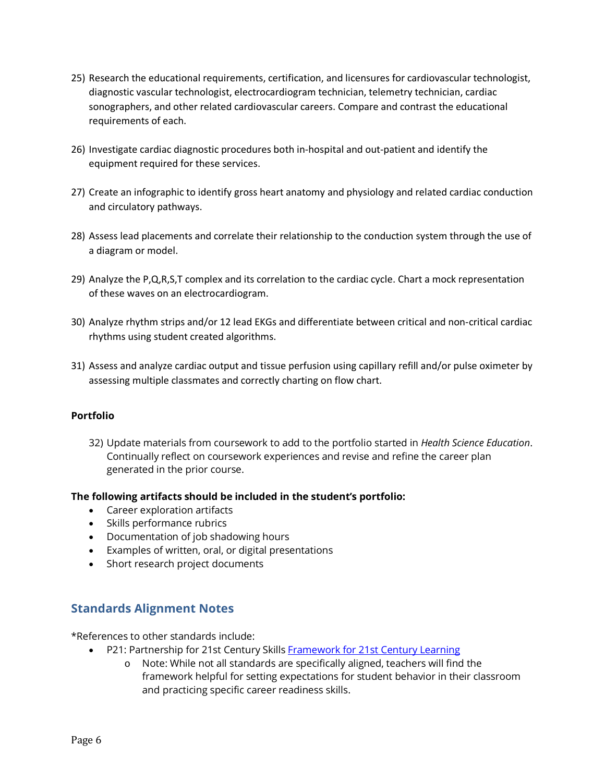- 25) Research the educational requirements, certification, and licensures for cardiovascular technologist, diagnostic vascular technologist, electrocardiogram technician, telemetry technician, cardiac sonographers, and other related cardiovascular careers. Compare and contrast the educational requirements of each.
- 26) Investigate cardiac diagnostic procedures both in-hospital and out-patient and identify the equipment required for these services.
- 27) Create an infographic to identify gross heart anatomy and physiology and related cardiac conduction and circulatory pathways.
- 28) Assess lead placements and correlate their relationship to the conduction system through the use of a diagram or model.
- 29) Analyze the P,Q,R,S,T complex and its correlation to the cardiac cycle. Chart a mock representation of these waves on an electrocardiogram.
- 30) Analyze rhythm strips and/or 12 lead EKGs and differentiate between critical and non-critical cardiac rhythms using student created algorithms.
- 31) Assess and analyze cardiac output and tissue perfusion using capillary refill and/or pulse oximeter by assessing multiple classmates and correctly charting on flow chart.

## **Portfolio**

32) Update materials from coursework to add to the portfolio started in *Health Science Education*. Continually reflect on coursework experiences and revise and refine the career plan generated in the prior course.

#### **The following artifacts should be included in the student's portfolio:**

- Career exploration artifacts
- Skills performance rubrics
- Documentation of job shadowing hours
- Examples of written, oral, or digital presentations
- Short research project documents

## **Standards Alignment Notes**

\*References to other standards include:

- P21: Partnership for 21st Century Skill[s Framework for 21st Century Learning](http://www.p21.org/storage/documents/P21_Framework_Definitions.pdf)
	- o Note: While not all standards are specifically aligned, teachers will find the framework helpful for setting expectations for student behavior in their classroom and practicing specific career readiness skills.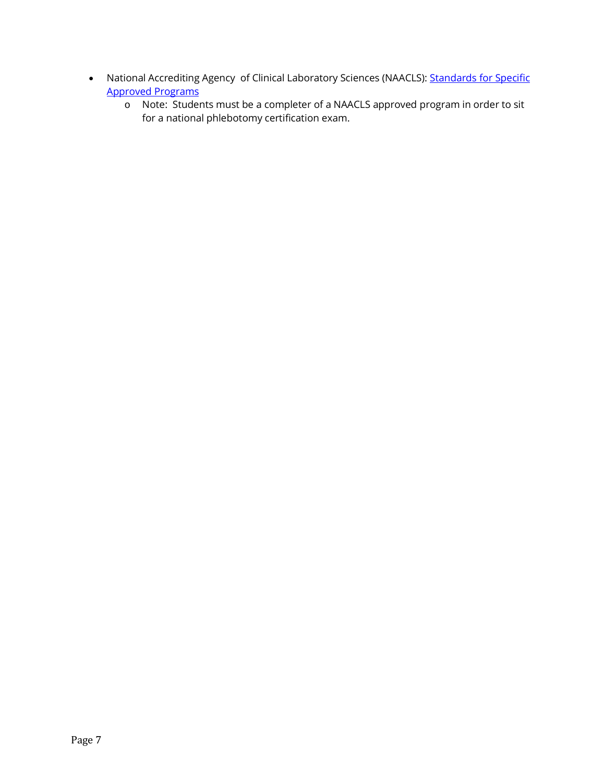- National Accrediting Agency of Clinical Laboratory Sciences (NAACLS): Standards for Specific [Approved Programs](http://www.naacls.org/docs/Guide_Approval-section1b-Phleb.pdf)
	- o Note: Students must be a completer of a NAACLS approved program in order to sit for a national phlebotomy certification exam.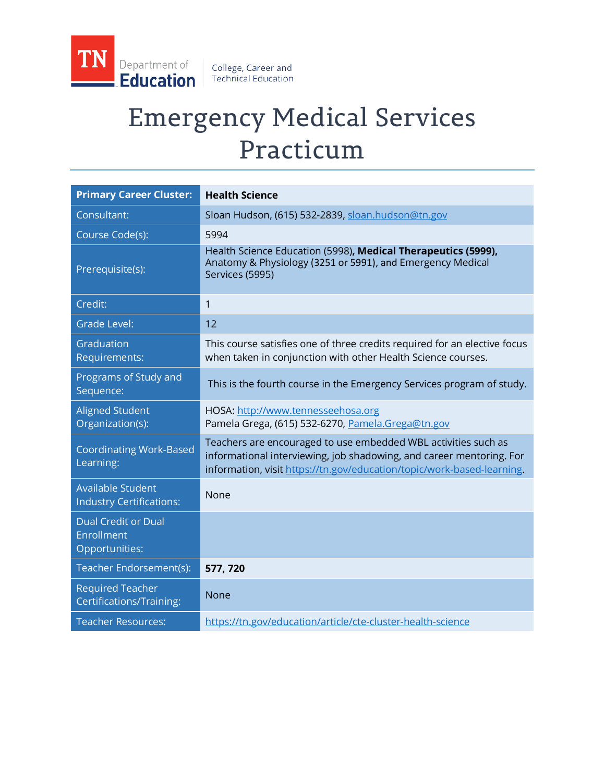

# Emergency Medical Services Practicum

| <b>Primary Career Cluster:</b>                              | <b>Health Science</b>                                                                                                                                                                                            |
|-------------------------------------------------------------|------------------------------------------------------------------------------------------------------------------------------------------------------------------------------------------------------------------|
| Consultant:                                                 | Sloan Hudson, (615) 532-2839, sloan.hudson@tn.gov                                                                                                                                                                |
| Course Code(s):                                             | 5994                                                                                                                                                                                                             |
| Prerequisite(s):                                            | Health Science Education (5998), Medical Therapeutics (5999),<br>Anatomy & Physiology (3251 or 5991), and Emergency Medical<br>Services (5995)                                                                   |
| Credit:                                                     | $\mathbf{1}$                                                                                                                                                                                                     |
| <b>Grade Level:</b>                                         | 12                                                                                                                                                                                                               |
| Graduation<br>Requirements:                                 | This course satisfies one of three credits required for an elective focus<br>when taken in conjunction with other Health Science courses.                                                                        |
| Programs of Study and<br>Sequence:                          | This is the fourth course in the Emergency Services program of study.                                                                                                                                            |
| <b>Aligned Student</b><br>Organization(s):                  | HOSA: http://www.tennesseehosa.org<br>Pamela Grega, (615) 532-6270, Pamela.Grega@tn.gov                                                                                                                          |
| <b>Coordinating Work-Based</b><br>Learning:                 | Teachers are encouraged to use embedded WBL activities such as<br>informational interviewing, job shadowing, and career mentoring. For<br>information, visit https://tn.gov/education/topic/work-based-learning. |
| <b>Available Student</b><br><b>Industry Certifications:</b> | None                                                                                                                                                                                                             |
| <b>Dual Credit or Dual</b><br>Enrollment<br>Opportunities:  |                                                                                                                                                                                                                  |
| Teacher Endorsement(s):                                     | 577, 720                                                                                                                                                                                                         |
| <b>Required Teacher</b><br>Certifications/Training:         | <b>None</b>                                                                                                                                                                                                      |
| <b>Teacher Resources:</b>                                   | https://tn.gov/education/article/cte-cluster-health-science                                                                                                                                                      |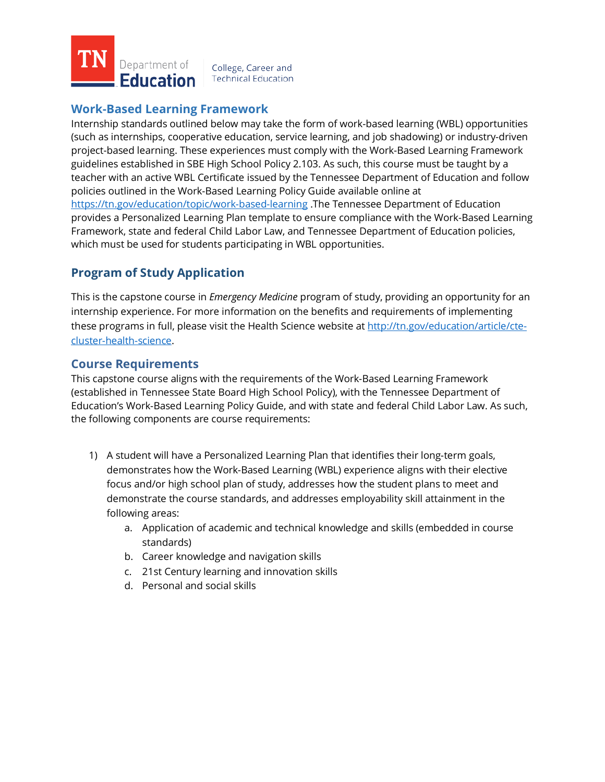

# **Work-Based Learning Framework**

Internship standards outlined below may take the form of work-based learning (WBL) opportunities (such as internships, cooperative education, service learning, and job shadowing) or industry-driven project-based learning. These experiences must comply with the Work-Based Learning Framework guidelines established in SBE High School Policy 2.103. As such, this course must be taught by a teacher with an active WBL Certificate issued by the Tennessee Department of Education and follow policies outlined in the Work-Based Learning Policy Guide available online at <https://tn.gov/education/topic/work-based-learning> .The Tennessee Department of Education provides a Personalized Learning Plan template to ensure compliance with the Work-Based Learning Framework, state and federal Child Labor Law, and Tennessee Department of Education policies, which must be used for students participating in WBL opportunities.

# **Program of Study Application**

This is the capstone course in *Emergency Medicine* program of study, providing an opportunity for an internship experience. For more information on the benefits and requirements of implementing these programs in full, please visit the Health Science website at [http://tn.gov/education/article/cte](http://tn.gov/education/article/cte-cluster-health-science)[cluster-health-science.](http://tn.gov/education/article/cte-cluster-health-science)

## **Course Requirements**

This capstone course aligns with the requirements of the Work-Based Learning Framework (established in Tennessee State Board High School Policy), with the Tennessee Department of Education's Work-Based Learning Policy Guide, and with state and federal Child Labor Law. As such, the following components are course requirements:

- 1) A student will have a Personalized Learning Plan that identifies their long-term goals, demonstrates how the Work-Based Learning (WBL) experience aligns with their elective focus and/or high school plan of study, addresses how the student plans to meet and demonstrate the course standards, and addresses employability skill attainment in the following areas:
	- a. Application of academic and technical knowledge and skills (embedded in course standards)
	- b. Career knowledge and navigation skills
	- c. 21st Century learning and innovation skills
	- d. Personal and social skills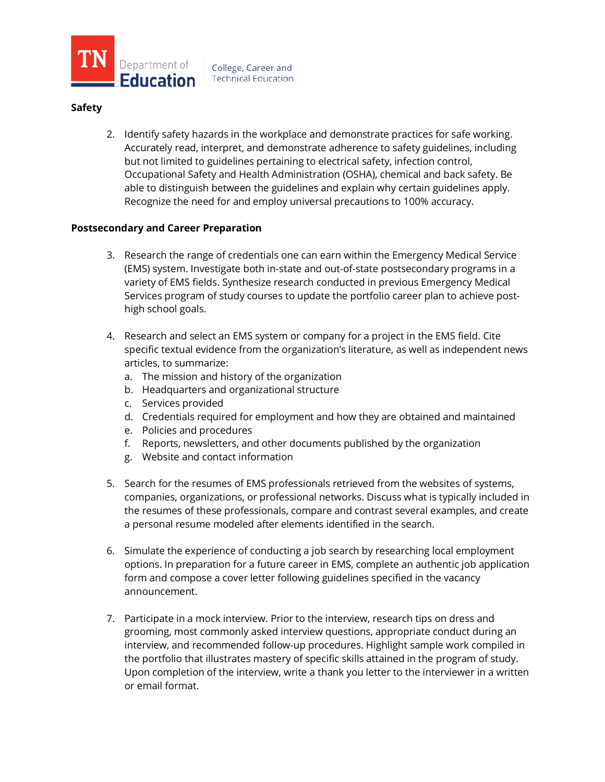

#### **Safety**

2. Identify safety hazards in the workplace and demonstrate practices for safe working. Accurately read, interpret, and demonstrate adherence to safety guidelines, including but not limited to guidelines pertaining to electrical safety, infection control, Occupational Safety and Health Administration (OSHA), chemical and back safety. Be able to distinguish between the guidelines and explain why certain guidelines apply. Recognize the need for and employ universal precautions to 100% accuracy.

### **Postsecondary and Career Preparation**

- 3. Research the range of credentials one can earn within the Emergency Medical Service (EMS) system. Investigate both in-state and out-of-state postsecondary programs in a variety of EMS fields. Synthesize research conducted in previous Emergency Medical Services program of study courses to update the portfolio career plan to achieve posthigh school goals.
- 4. Research and select an EMS system or company for a project in the EMS field. Cite specific textual evidence from the organization's literature, as well as independent news articles, to summarize:
	- a. The mission and history of the organization
	- b. Headquarters and organizational structure
	- c. Services provided
	- d. Credentials required for employment and how they are obtained and maintained
	- e. Policies and procedures
	- f. Reports, newsletters, and other documents published by the organization
	- g. Website and contact information
- 5. Search for the resumes of EMS professionals retrieved from the websites of systems, companies, organizations, or professional networks. Discuss what is typically included in the resumes of these professionals, compare and contrast several examples, and create a personal resume modeled after elements identified in the search.
- 6. Simulate the experience of conducting a job search by researching local employment options. In preparation for a future career in EMS, complete an authentic job application form and compose a cover letter following guidelines specified in the vacancy announcement.
- 7. Participate in a mock interview. Prior to the interview, research tips on dress and grooming, most commonly asked interview questions, appropriate conduct during an interview, and recommended follow-up procedures. Highlight sample work compiled in the portfolio that illustrates mastery of specific skills attained in the program of study. Upon completion of the interview, write a thank you letter to the interviewer in a written or email format.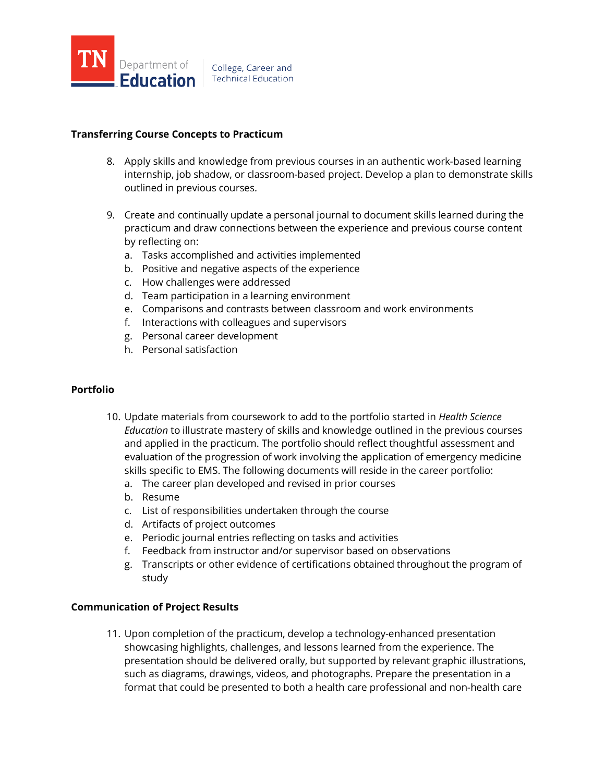

## **Transferring Course Concepts to Practicum**

- 8. Apply skills and knowledge from previous courses in an authentic work-based learning internship, job shadow, or classroom-based project. Develop a plan to demonstrate skills outlined in previous courses.
- 9. Create and continually update a personal journal to document skills learned during the practicum and draw connections between the experience and previous course content by reflecting on:
	- a. Tasks accomplished and activities implemented
	- b. Positive and negative aspects of the experience
	- c. How challenges were addressed
	- d. Team participation in a learning environment
	- e. Comparisons and contrasts between classroom and work environments
	- f. Interactions with colleagues and supervisors
	- g. Personal career development
	- h. Personal satisfaction

#### **Portfolio**

- 10. Update materials from coursework to add to the portfolio started in *Health Science Education* to illustrate mastery of skills and knowledge outlined in the previous courses and applied in the practicum. The portfolio should reflect thoughtful assessment and evaluation of the progression of work involving the application of emergency medicine skills specific to EMS. The following documents will reside in the career portfolio:
	- a. The career plan developed and revised in prior courses
	- b. Resume
	- c. List of responsibilities undertaken through the course
	- d. Artifacts of project outcomes
	- e. Periodic journal entries reflecting on tasks and activities
	- f. Feedback from instructor and/or supervisor based on observations
	- g. Transcripts or other evidence of certifications obtained throughout the program of study

#### **Communication of Project Results**

11. Upon completion of the practicum, develop a technology-enhanced presentation showcasing highlights, challenges, and lessons learned from the experience. The presentation should be delivered orally, but supported by relevant graphic illustrations, such as diagrams, drawings, videos, and photographs. Prepare the presentation in a format that could be presented to both a health care professional and non-health care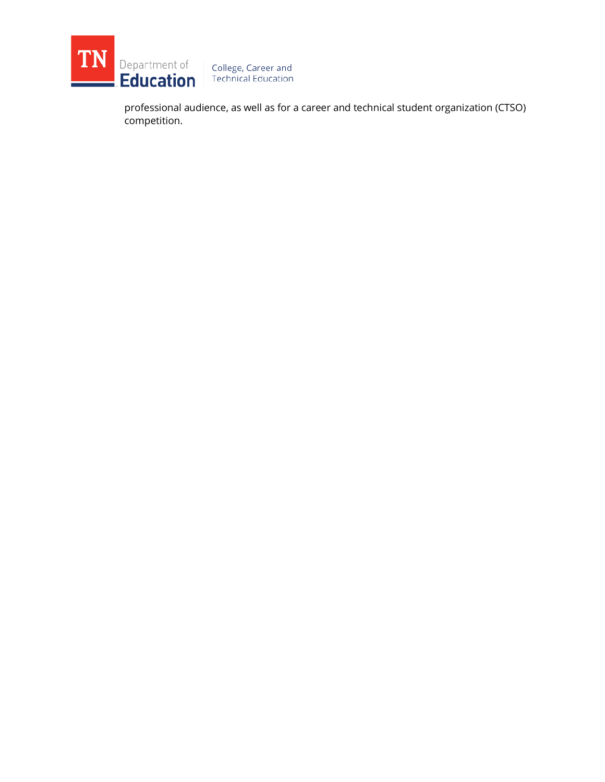

competition.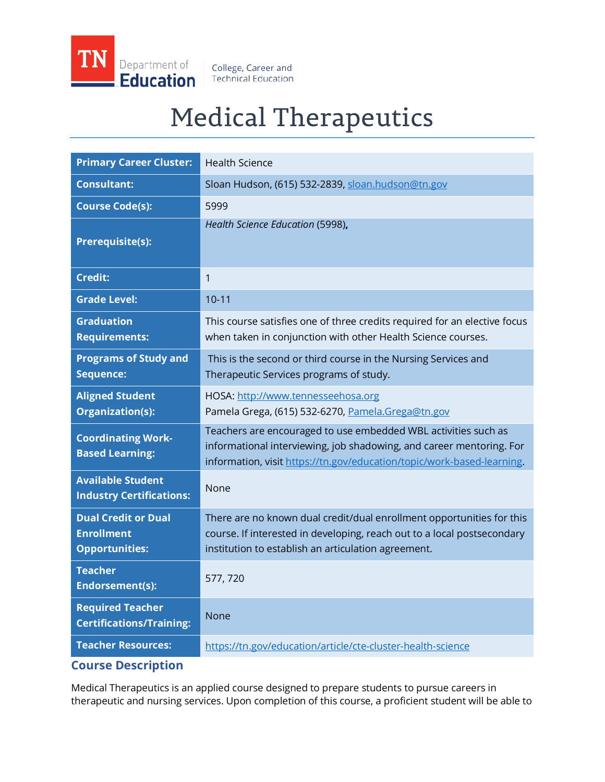

College, Career and **Technical Education** 

# Medical Therapeutics

| <b>Primary Career Cluster:</b>                                           | <b>Health Science</b>                                                                                                                                                                                            |
|--------------------------------------------------------------------------|------------------------------------------------------------------------------------------------------------------------------------------------------------------------------------------------------------------|
| <b>Consultant:</b>                                                       | Sloan Hudson, (615) 532-2839, sloan.hudson@tn.gov                                                                                                                                                                |
| <b>Course Code(s):</b>                                                   | 5999                                                                                                                                                                                                             |
| <b>Prerequisite(s):</b>                                                  | Health Science Education (5998),                                                                                                                                                                                 |
| <b>Credit:</b>                                                           | $\mathbf{1}$                                                                                                                                                                                                     |
| <b>Grade Level:</b>                                                      | $10 - 11$                                                                                                                                                                                                        |
| <b>Graduation</b><br><b>Requirements:</b>                                | This course satisfies one of three credits required for an elective focus<br>when taken in conjunction with other Health Science courses.                                                                        |
| <b>Programs of Study and</b><br><b>Sequence:</b>                         | This is the second or third course in the Nursing Services and<br>Therapeutic Services programs of study.                                                                                                        |
| <b>Aligned Student</b><br><b>Organization(s):</b>                        | HOSA: http://www.tennesseehosa.org<br>Pamela Grega, (615) 532-6270, Pamela.Grega@tn.gov                                                                                                                          |
| <b>Coordinating Work-</b><br><b>Based Learning:</b>                      | Teachers are encouraged to use embedded WBL activities such as<br>informational interviewing, job shadowing, and career mentoring. For<br>information, visit https://tn.gov/education/topic/work-based-learning. |
| <b>Available Student</b><br><b>Industry Certifications:</b>              | None                                                                                                                                                                                                             |
| <b>Dual Credit or Dual</b><br><b>Enrollment</b><br><b>Opportunities:</b> | There are no known dual credit/dual enrollment opportunities for this<br>course. If interested in developing, reach out to a local postsecondary<br>institution to establish an articulation agreement.          |
| <b>Teacher</b><br>Endorsement(s):                                        | 577, 720                                                                                                                                                                                                         |
| <b>Required Teacher</b><br><b>Certifications/Training:</b>               | None                                                                                                                                                                                                             |
| <b>Teacher Resources:</b>                                                | https://tn.gov/education/article/cte-cluster-health-science                                                                                                                                                      |
| <b>Course Description</b>                                                |                                                                                                                                                                                                                  |

Medical Therapeutics is an applied course designed to prepare students to pursue careers in therapeutic and nursing services. Upon completion of this course, a proficient student will be able to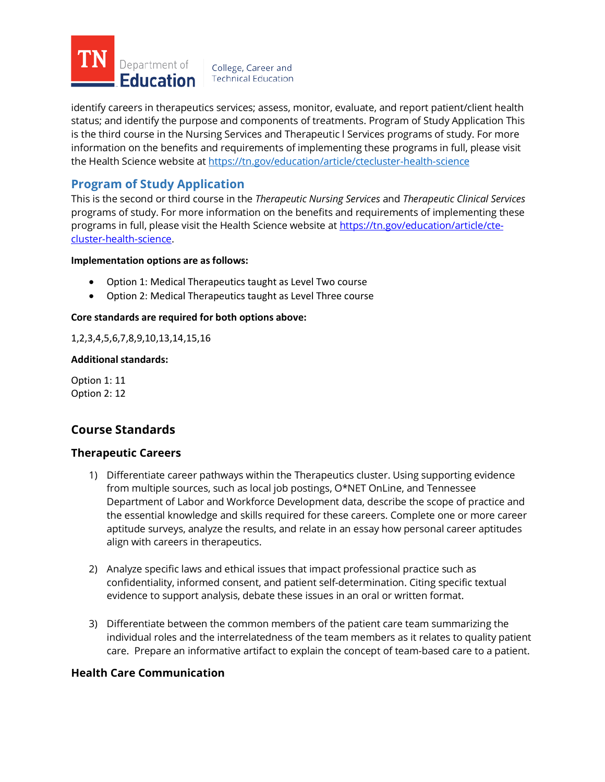

identify careers in therapeutics services; assess, monitor, evaluate, and report patient/client health status; and identify the purpose and components of treatments. Program of Study Application This is the third course in the Nursing Services and Therapeutic l Services programs of study. For more information on the benefits and requirements of implementing these programs in full, please visit the Health Science website at<https://tn.gov/education/article/ctecluster-health-science>

# **Program of Study Application**

This is the second or third course in the *Therapeutic Nursing Services* and *Therapeutic Clinical Services* programs of study. For more information on the benefits and requirements of implementing these programs in full, please visit the Health Science website at [https://tn.gov/education/article/cte](https://tn.gov/education/article/cte-cluster-health-science)[cluster-health-science.](https://tn.gov/education/article/cte-cluster-health-science)

#### **Implementation options are as follows:**

- Option 1: Medical Therapeutics taught as Level Two course
- Option 2: Medical Therapeutics taught as Level Three course

### **Core standards are required for both options above:**

1,2,3,4,5,6,7,8,9,10,13,14,15,16

#### **Additional standards:**

Option 1: 11 Option 2: 12

## **Course Standards**

## **Therapeutic Careers**

- 1) Differentiate career pathways within the Therapeutics cluster. Using supporting evidence from multiple sources, such as local job postings, O\*NET OnLine, and Tennessee Department of Labor and Workforce Development data, describe the scope of practice and the essential knowledge and skills required for these careers. Complete one or more career aptitude surveys, analyze the results, and relate in an essay how personal career aptitudes align with careers in therapeutics.
- 2) Analyze specific laws and ethical issues that impact professional practice such as confidentiality, informed consent, and patient self-determination. Citing specific textual evidence to support analysis, debate these issues in an oral or written format.
- 3) Differentiate between the common members of the patient care team summarizing the individual roles and the interrelatedness of the team members as it relates to quality patient care. Prepare an informative artifact to explain the concept of team-based care to a patient.

## **Health Care Communication**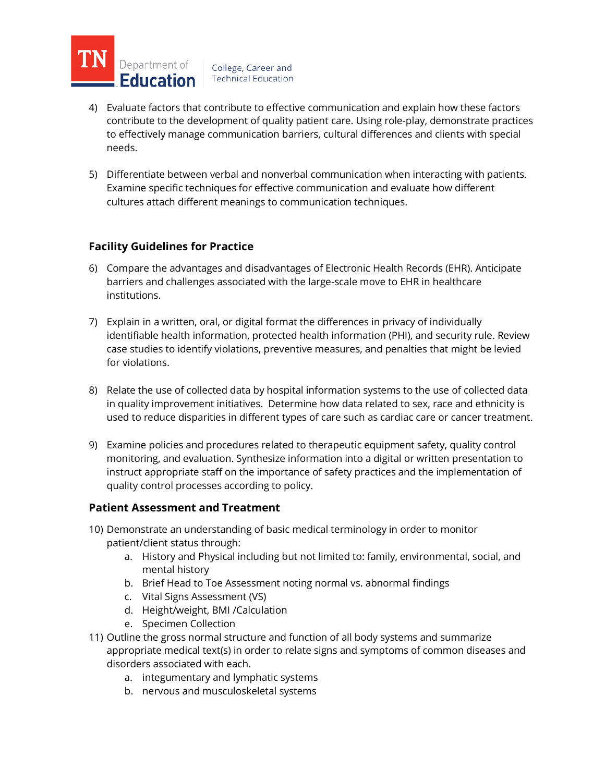

- 4) Evaluate factors that contribute to effective communication and explain how these factors contribute to the development of quality patient care. Using role-play, demonstrate practices to effectively manage communication barriers, cultural differences and clients with special needs.
- 5) Differentiate between verbal and nonverbal communication when interacting with patients. Examine specific techniques for effective communication and evaluate how different cultures attach different meanings to communication techniques.

## **Facility Guidelines for Practice**

- 6) Compare the advantages and disadvantages of Electronic Health Records (EHR). Anticipate barriers and challenges associated with the large-scale move to EHR in healthcare institutions.
- 7) Explain in a written, oral, or digital format the differences in privacy of individually identifiable health information, protected health information (PHI), and security rule. Review case studies to identify violations, preventive measures, and penalties that might be levied for violations.
- 8) Relate the use of collected data by hospital information systems to the use of collected data in quality improvement initiatives. Determine how data related to sex, race and ethnicity is used to reduce disparities in different types of care such as cardiac care or cancer treatment.
- 9) Examine policies and procedures related to therapeutic equipment safety, quality control monitoring, and evaluation. Synthesize information into a digital or written presentation to instruct appropriate staff on the importance of safety practices and the implementation of quality control processes according to policy.

## **Patient Assessment and Treatment**

- 10) Demonstrate an understanding of basic medical terminology in order to monitor patient/client status through:
	- a. History and Physical including but not limited to: family, environmental, social, and mental history
	- b. Brief Head to Toe Assessment noting normal vs. abnormal findings
	- c. Vital Signs Assessment (VS)
	- d. Height/weight, BMI /Calculation
	- e. Specimen Collection
- 11) Outline the gross normal structure and function of all body systems and summarize appropriate medical text(s) in order to relate signs and symptoms of common diseases and disorders associated with each.
	- a. integumentary and lymphatic systems
	- b. nervous and musculoskeletal systems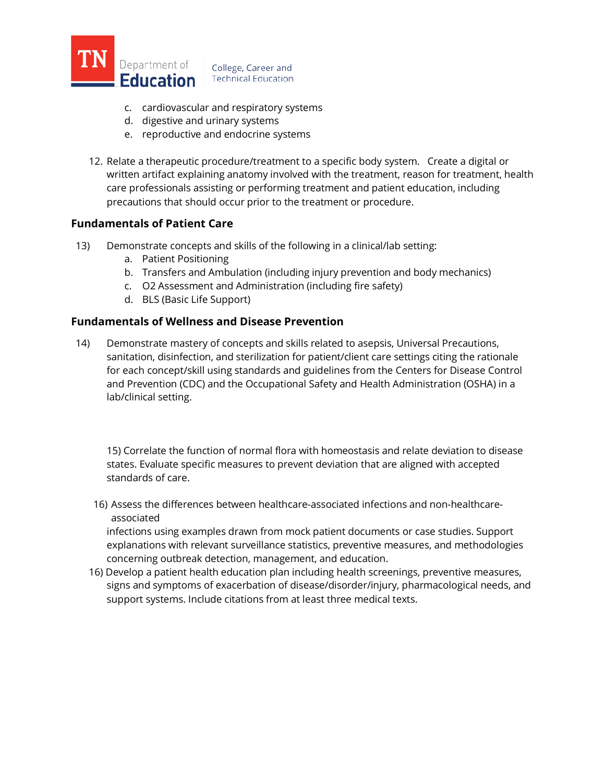

- 
- c. cardiovascular and respiratory systems d. digestive and urinary systems
- e. reproductive and endocrine systems
- 12. Relate a therapeutic procedure/treatment to a specific body system. Create a digital or written artifact explaining anatomy involved with the treatment, reason for treatment, health care professionals assisting or performing treatment and patient education, including precautions that should occur prior to the treatment or procedure.

## **Fundamentals of Patient Care**

- 13) Demonstrate concepts and skills of the following in a clinical/lab setting:
	- a. Patient Positioning
	- b. Transfers and Ambulation (including injury prevention and body mechanics)
	- c. O2 Assessment and Administration (including fire safety)
	- d. BLS (Basic Life Support)

## **Fundamentals of Wellness and Disease Prevention**

14) Demonstrate mastery of concepts and skills related to asepsis, Universal Precautions, sanitation, disinfection, and sterilization for patient/client care settings citing the rationale for each concept/skill using standards and guidelines from the Centers for Disease Control and Prevention (CDC) and the Occupational Safety and Health Administration (OSHA) in a lab/clinical setting.

15) Correlate the function of normal flora with homeostasis and relate deviation to disease states. Evaluate specific measures to prevent deviation that are aligned with accepted standards of care.

16) Assess the differences between healthcare-associated infections and non-healthcareassociated

infections using examples drawn from mock patient documents or case studies. Support explanations with relevant surveillance statistics, preventive measures, and methodologies concerning outbreak detection, management, and education.

16) Develop a patient health education plan including health screenings, preventive measures, signs and symptoms of exacerbation of disease/disorder/injury, pharmacological needs, and support systems. Include citations from at least three medical texts.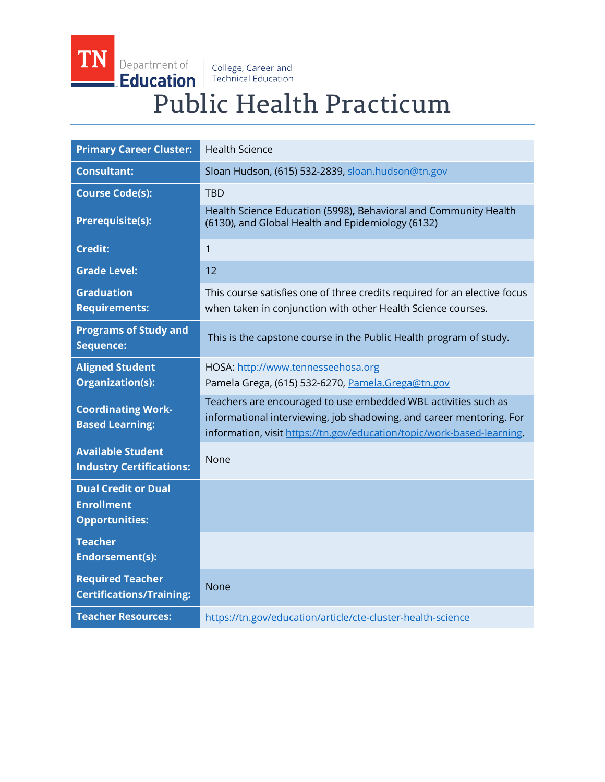TN Department of Education

College, Career and<br>Technical Education

# Public Health Practicum

| <b>Primary Career Cluster:</b>                                           | <b>Health Science</b>                                                                                                                                                                                            |
|--------------------------------------------------------------------------|------------------------------------------------------------------------------------------------------------------------------------------------------------------------------------------------------------------|
| <b>Consultant:</b>                                                       | Sloan Hudson, (615) 532-2839, sloan.hudson@tn.gov                                                                                                                                                                |
| <b>Course Code(s):</b>                                                   | <b>TBD</b>                                                                                                                                                                                                       |
| <b>Prerequisite(s):</b>                                                  | Health Science Education (5998), Behavioral and Community Health<br>(6130), and Global Health and Epidemiology (6132)                                                                                            |
| <b>Credit:</b>                                                           | 1                                                                                                                                                                                                                |
| <b>Grade Level:</b>                                                      | 12                                                                                                                                                                                                               |
| <b>Graduation</b><br><b>Requirements:</b>                                | This course satisfies one of three credits required for an elective focus<br>when taken in conjunction with other Health Science courses.                                                                        |
| <b>Programs of Study and</b><br>Sequence:                                | This is the capstone course in the Public Health program of study.                                                                                                                                               |
| <b>Aligned Student</b><br>Organization(s):                               | HOSA: http://www.tennesseehosa.org<br>Pamela Grega, (615) 532-6270, Pamela.Grega@tn.gov                                                                                                                          |
| <b>Coordinating Work-</b><br><b>Based Learning:</b>                      | Teachers are encouraged to use embedded WBL activities such as<br>informational interviewing, job shadowing, and career mentoring. For<br>information, visit https://tn.gov/education/topic/work-based-learning. |
| <b>Available Student</b><br><b>Industry Certifications:</b>              | None                                                                                                                                                                                                             |
| <b>Dual Credit or Dual</b><br><b>Enrollment</b><br><b>Opportunities:</b> |                                                                                                                                                                                                                  |
| <b>Teacher</b><br><b>Endorsement(s):</b>                                 |                                                                                                                                                                                                                  |
| <b>Required Teacher</b><br><b>Certifications/Training:</b>               | <b>None</b>                                                                                                                                                                                                      |
| <b>Teacher Resources:</b>                                                | https://tn.gov/education/article/cte-cluster-health-science                                                                                                                                                      |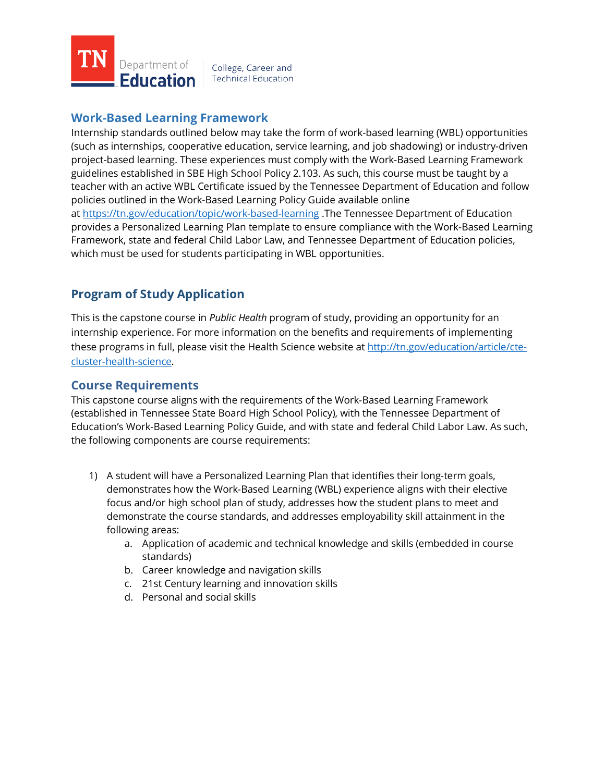

## **Work-Based Learning Framework**

Internship standards outlined below may take the form of work-based learning (WBL) opportunities (such as internships, cooperative education, service learning, and job shadowing) or industry-driven project-based learning. These experiences must comply with the Work-Based Learning Framework guidelines established in SBE High School Policy 2.103. As such, this course must be taught by a teacher with an active WBL Certificate issued by the Tennessee Department of Education and follow policies outlined in the Work-Based Learning Policy Guide available online a[t https://tn.gov/education/topic/work-based-learning](https://tn.gov/education/topic/work-based-learning) .The Tennessee Department of Education provides a Personalized Learning Plan template to ensure compliance with the Work-Based Learning Framework, state and federal Child Labor Law, and Tennessee Department of Education policies, which must be used for students participating in WBL opportunities.

# **Program of Study Application**

This is the capstone course in *Public Health* program of study, providing an opportunity for an internship experience. For more information on the benefits and requirements of implementing these programs in full, please visit the Health Science website at [http://tn.gov/education/article/cte](http://tn.gov/education/article/cte-cluster-health-science)[cluster-health-science.](http://tn.gov/education/article/cte-cluster-health-science)

## **Course Requirements**

This capstone course aligns with the requirements of the Work-Based Learning Framework (established in Tennessee State Board High School Policy), with the Tennessee Department of Education's Work-Based Learning Policy Guide, and with state and federal Child Labor Law. As such, the following components are course requirements:

- 1) A student will have a Personalized Learning Plan that identifies their long-term goals, demonstrates how the Work-Based Learning (WBL) experience aligns with their elective focus and/or high school plan of study, addresses how the student plans to meet and demonstrate the course standards, and addresses employability skill attainment in the following areas:
	- a. Application of academic and technical knowledge and skills (embedded in course standards)
	- b. Career knowledge and navigation skills
	- c. 21st Century learning and innovation skills
	- d. Personal and social skills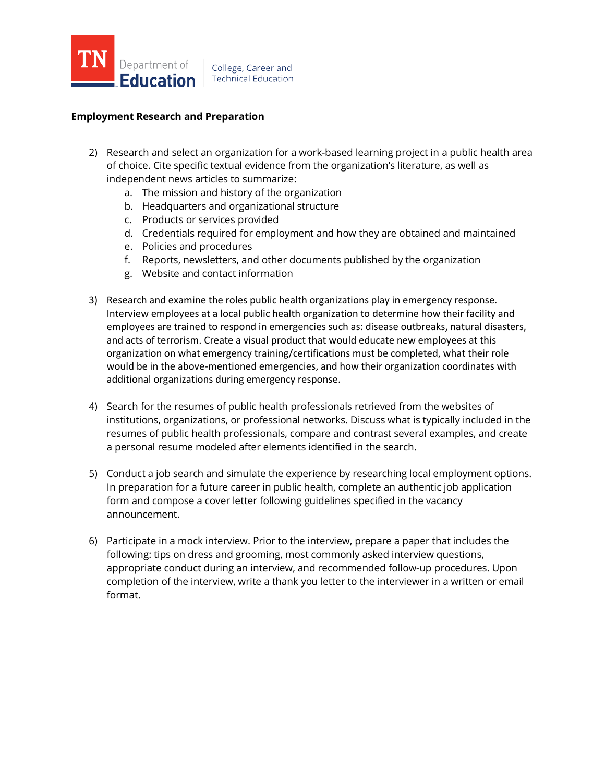

## **Employment Research and Preparation**

- 2) Research and select an organization for a work-based learning project in a public health area of choice. Cite specific textual evidence from the organization's literature, as well as independent news articles to summarize:
	- a. The mission and history of the organization
	- b. Headquarters and organizational structure
	- c. Products or services provided
	- d. Credentials required for employment and how they are obtained and maintained
	- e. Policies and procedures
	- f. Reports, newsletters, and other documents published by the organization
	- g. Website and contact information
- 3) Research and examine the roles public health organizations play in emergency response. Interview employees at a local public health organization to determine how their facility and employees are trained to respond in emergencies such as: disease outbreaks, natural disasters, and acts of terrorism. Create a visual product that would educate new employees at this organization on what emergency training/certifications must be completed, what their role would be in the above-mentioned emergencies, and how their organization coordinates with additional organizations during emergency response.
- 4) Search for the resumes of public health professionals retrieved from the websites of institutions, organizations, or professional networks. Discuss what is typically included in the resumes of public health professionals, compare and contrast several examples, and create a personal resume modeled after elements identified in the search.
- 5) Conduct a job search and simulate the experience by researching local employment options. In preparation for a future career in public health, complete an authentic job application form and compose a cover letter following guidelines specified in the vacancy announcement.
- 6) Participate in a mock interview. Prior to the interview, prepare a paper that includes the following: tips on dress and grooming, most commonly asked interview questions, appropriate conduct during an interview, and recommended follow-up procedures. Upon completion of the interview, write a thank you letter to the interviewer in a written or email format.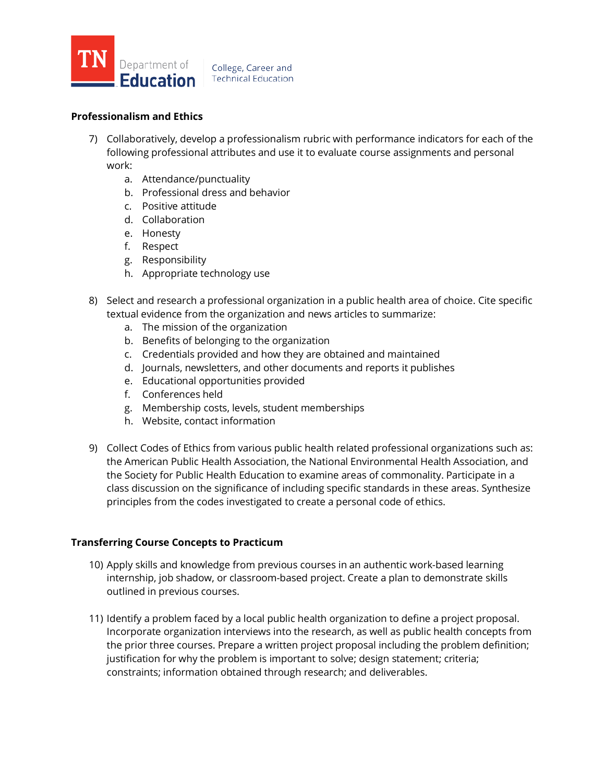

#### College, Career and **Technical Education**

## **Professionalism and Ethics**

- 7) Collaboratively, develop a professionalism rubric with performance indicators for each of the following professional attributes and use it to evaluate course assignments and personal work:
	- a. Attendance/punctuality
	- b. Professional dress and behavior
	- c. Positive attitude
	- d. Collaboration
	- e. Honesty
	- f. Respect
	- g. Responsibility
	- h. Appropriate technology use
- 8) Select and research a professional organization in a public health area of choice. Cite specific textual evidence from the organization and news articles to summarize:
	- a. The mission of the organization
	- b. Benefits of belonging to the organization
	- c. Credentials provided and how they are obtained and maintained
	- d. Journals, newsletters, and other documents and reports it publishes
	- e. Educational opportunities provided
	- f. Conferences held
	- g. Membership costs, levels, student memberships
	- h. Website, contact information
- 9) Collect Codes of Ethics from various public health related professional organizations such as: the American Public Health Association, the National Environmental Health Association, and the Society for Public Health Education to examine areas of commonality. Participate in a class discussion on the significance of including specific standards in these areas. Synthesize principles from the codes investigated to create a personal code of ethics.

## **Transferring Course Concepts to Practicum**

- 10) Apply skills and knowledge from previous courses in an authentic work-based learning internship, job shadow, or classroom-based project. Create a plan to demonstrate skills outlined in previous courses.
- 11) Identify a problem faced by a local public health organization to define a project proposal. Incorporate organization interviews into the research, as well as public health concepts from the prior three courses. Prepare a written project proposal including the problem definition; justification for why the problem is important to solve; design statement; criteria; constraints; information obtained through research; and deliverables.